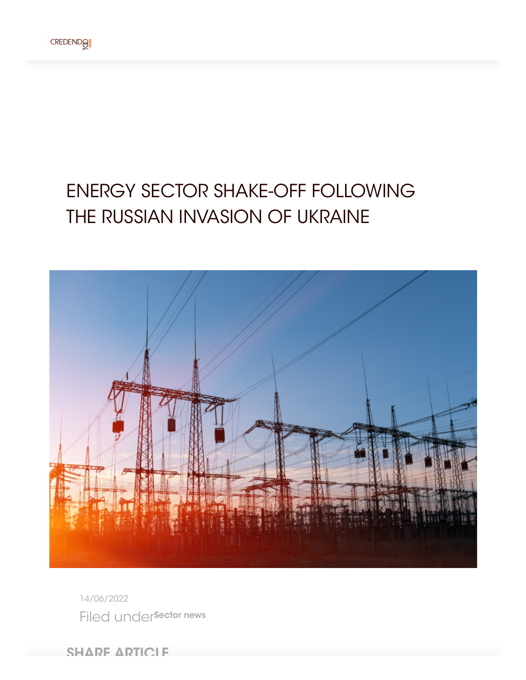

## ENERGY SECTOR SHAKE-OFF FOLLOWING THE RUSSIAN INVASION OF UKRAINE



14/06/2022 Filed undersector news

**SHARE ARTICLE**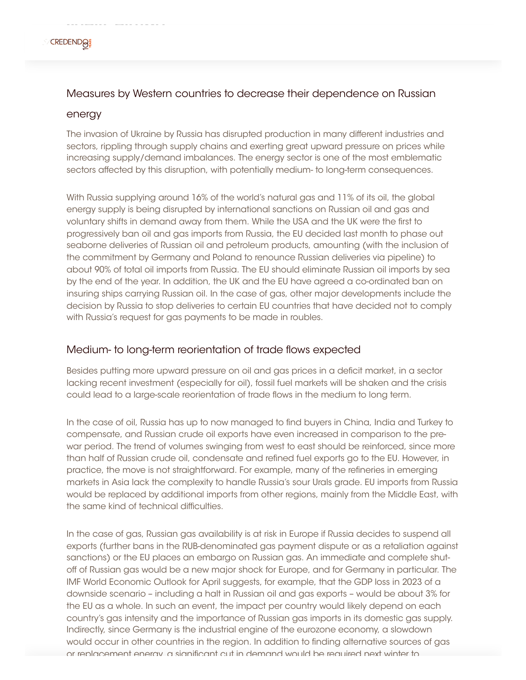

## Measures by Western countries to decrease their dependence on Russian

## energy

SHARE ARTICLE

The invasion of Ukraine by Russia has disrupted production in many different industries and sectors, rippling through supply chains and exerting great upward pressure on prices while increasing supply/demand imbalances. The energy sector is one of the most emblematic sectors affected by this disruption, with potentially medium- to long-term consequences.

With Russia supplying around 16% of the world's natural gas and 11% of its oil, the global energy supply is being disrupted by international sanctions on Russian oil and gas and voluntary shifts in demand away from them. While the USA and the UK were the first to progressively ban oil and gas imports from Russia, the EU decided last month to phase out seaborne deliveries of Russian oil and petroleum products, amounting (with the inclusion of the commitment by Germany and Poland to renounce Russian deliveries via pipeline) to about 90% of total oil imports from Russia. The EU should eliminate Russian oil imports by sea by the end of the year. In addition, the UK and the EU have agreed a co-ordinated ban on insuring ships carrying Russian oil. In the case of gas, other major developments include the decision by Russia to stop deliveries to certain EU countries that have decided not to comply with Russia's request for gas payments to be made in roubles.

## Medium- to long-term reorientation of trade flows expected

Besides putting more upward pressure on oil and gas prices in a deficit market, in a sector lacking recent investment (especially for oil), fossil fuel markets will be shaken and the crisis could lead to a large-scale reorientation of trade flows in the medium to long term.

In the case of oil, Russia has up to now managed to find buyers in China, India and Turkey to compensate, and Russian crude oil exports have even increased in comparison to the prewar period. The trend of volumes swinging from west to east should be reinforced, since more than half of Russian crude oil, condensate and refined fuel exports go to the EU. However, in practice, the move is not straightforward. For example, many of the refineries in emerging markets in Asia lack the complexity to handle Russia's sour Urals grade. EU imports from Russia would be replaced by additional imports from other regions, mainly from the Middle East, with the same kind of technical difficulties.

In the case of gas, Russian gas availability is at risk in Europe if Russia decides to suspend all exports (further bans in the RUB-denominated gas payment dispute or as a retaliation against sanctions) or the EU places an embargo on Russian gas. An immediate and complete shutoff of Russian gas would be a new major shock for Europe, and for Germany in particular. The IMF World Economic Outlook for April suggests, for example, that the GDP loss in 2023 of a downside scenario – including a halt in Russian oil and gas exports – would be about 3% for the EU as a whole. In such an event, the impact per country would likely depend on each country's gas intensity and the importance of Russian gas imports in its domestic gas supply. Indirectly, since Germany is the industrial engine of the eurozone economy, a slowdown would occur in other countries in the region. In addition to finding alternative sources of gas or replacement energy a significant cut in demand would be required next winter to